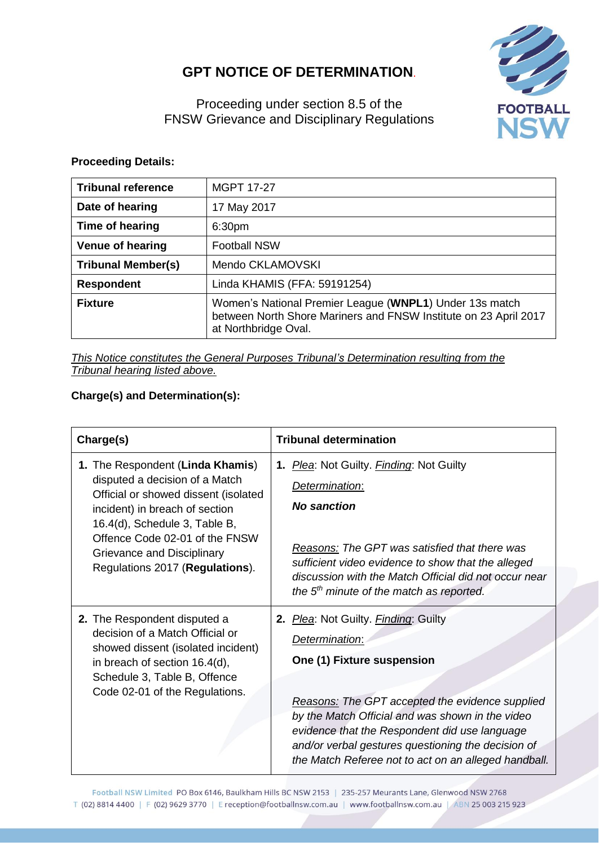## **GPT NOTICE OF DETERMINATION**.



Proceeding under section 8.5 of the FNSW Grievance and Disciplinary Regulations

## **Proceeding Details:**

| <b>Tribunal reference</b> | <b>MGPT 17-27</b>                                                                                                                                   |  |  |  |
|---------------------------|-----------------------------------------------------------------------------------------------------------------------------------------------------|--|--|--|
| Date of hearing           | 17 May 2017                                                                                                                                         |  |  |  |
| Time of hearing           | 6:30pm                                                                                                                                              |  |  |  |
| Venue of hearing          | <b>Football NSW</b>                                                                                                                                 |  |  |  |
| <b>Tribunal Member(s)</b> | Mendo CKLAMOVSKI                                                                                                                                    |  |  |  |
| <b>Respondent</b>         | Linda KHAMIS (FFA: 59191254)                                                                                                                        |  |  |  |
| <b>Fixture</b>            | Women's National Premier League (WNPL1) Under 13s match<br>between North Shore Mariners and FNSW Institute on 23 April 2017<br>at Northbridge Oval. |  |  |  |

*This Notice constitutes the General Purposes Tribunal's Determination resulting from the Tribunal hearing listed above.*

## **Charge(s) and Determination(s):**

| Charge(s)                                                                                                                                                                                                                                                                        | <b>Tribunal determination</b>                                                                                                                                                                                                                                                                                                                                                                            |  |  |
|----------------------------------------------------------------------------------------------------------------------------------------------------------------------------------------------------------------------------------------------------------------------------------|----------------------------------------------------------------------------------------------------------------------------------------------------------------------------------------------------------------------------------------------------------------------------------------------------------------------------------------------------------------------------------------------------------|--|--|
| 1. The Respondent (Linda Khamis)<br>disputed a decision of a Match<br>Official or showed dissent (isolated<br>incident) in breach of section<br>16.4(d), Schedule 3, Table B,<br>Offence Code 02-01 of the FNSW<br>Grievance and Disciplinary<br>Regulations 2017 (Regulations). | 1. Plea: Not Guilty. Finding: Not Guilty<br>Determination:<br><b>No sanction</b><br>Reasons: The GPT was satisfied that there was<br>sufficient video evidence to show that the alleged<br>discussion with the Match Official did not occur near                                                                                                                                                         |  |  |
| 2. The Respondent disputed a<br>decision of a Match Official or<br>showed dissent (isolated incident)<br>in breach of section 16.4(d),<br>Schedule 3, Table B, Offence<br>Code 02-01 of the Regulations.                                                                         | the $5th$ minute of the match as reported.<br>2. Plea: Not Guilty. Finding: Guilty<br>Determination:<br>One (1) Fixture suspension<br>Reasons: The GPT accepted the evidence supplied<br>by the Match Official and was shown in the video<br>evidence that the Respondent did use language<br>and/or verbal gestures questioning the decision of<br>the Match Referee not to act on an alleged handball. |  |  |

Football NSW Limited PO Box 6146, Baulkham Hills BC NSW 2153 | 235-257 Meurants Lane, Glenwood NSW 2768 T (02) 8814 4400 | F (02) 9629 3770 | E reception@footballnsw.com.au | www.footballnsw.com.au | ABN 25 003 215 923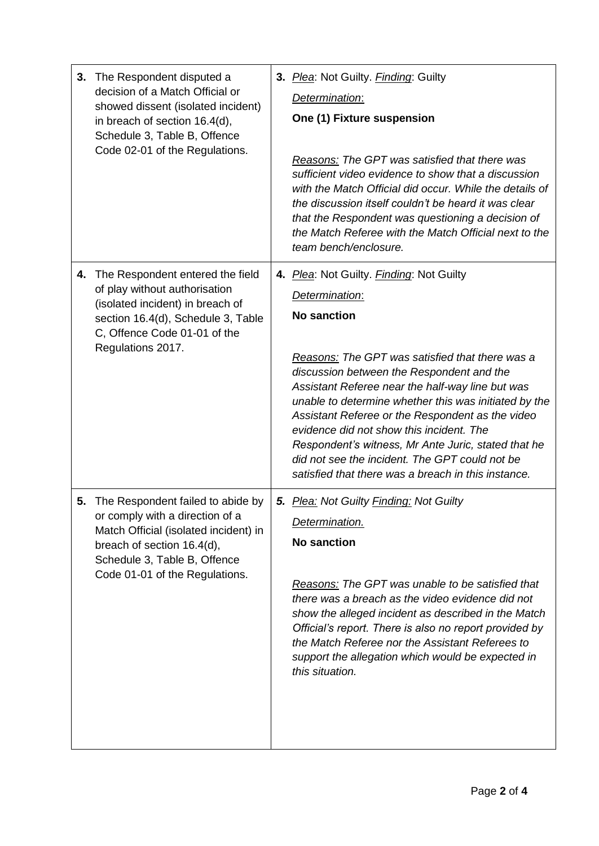| 3. | The Respondent disputed a<br>decision of a Match Official or<br>showed dissent (isolated incident)<br>in breach of section 16.4(d),<br>Schedule 3, Table B, Offence<br>Code 02-01 of the Regulations.         | 3. Plea: Not Guilty. Finding: Guilty<br>Determination:<br>One (1) Fixture suspension<br><b>Reasons:</b> The GPT was satisfied that there was<br>sufficient video evidence to show that a discussion<br>with the Match Official did occur. While the details of<br>the discussion itself couldn't be heard it was clear<br>that the Respondent was questioning a decision of<br>the Match Referee with the Match Official next to the<br>team bench/enclosure.                                                                                                        |
|----|---------------------------------------------------------------------------------------------------------------------------------------------------------------------------------------------------------------|----------------------------------------------------------------------------------------------------------------------------------------------------------------------------------------------------------------------------------------------------------------------------------------------------------------------------------------------------------------------------------------------------------------------------------------------------------------------------------------------------------------------------------------------------------------------|
| 4. | The Respondent entered the field<br>of play without authorisation<br>(isolated incident) in breach of<br>section 16.4(d), Schedule 3, Table<br>C, Offence Code 01-01 of the<br>Regulations 2017.              | 4. Plea: Not Guilty. Finding: Not Guilty<br>Determination:<br><b>No sanction</b><br><b>Reasons:</b> The GPT was satisfied that there was a<br>discussion between the Respondent and the<br>Assistant Referee near the half-way line but was<br>unable to determine whether this was initiated by the<br>Assistant Referee or the Respondent as the video<br>evidence did not show this incident. The<br>Respondent's witness, Mr Ante Juric, stated that he<br>did not see the incident. The GPT could not be<br>satisfied that there was a breach in this instance. |
| 5. | The Respondent failed to abide by<br>or comply with a direction of a<br>Match Official (isolated incident) in<br>breach of section 16.4(d),<br>Schedule 3, Table B, Offence<br>Code 01-01 of the Regulations. | 5. Plea: Not Guilty Finding: Not Guilty<br>Determination.<br><b>No sanction</b><br>Reasons: The GPT was unable to be satisfied that<br>there was a breach as the video evidence did not<br>show the alleged incident as described in the Match<br>Official's report. There is also no report provided by<br>the Match Referee nor the Assistant Referees to<br>support the allegation which would be expected in<br>this situation.                                                                                                                                  |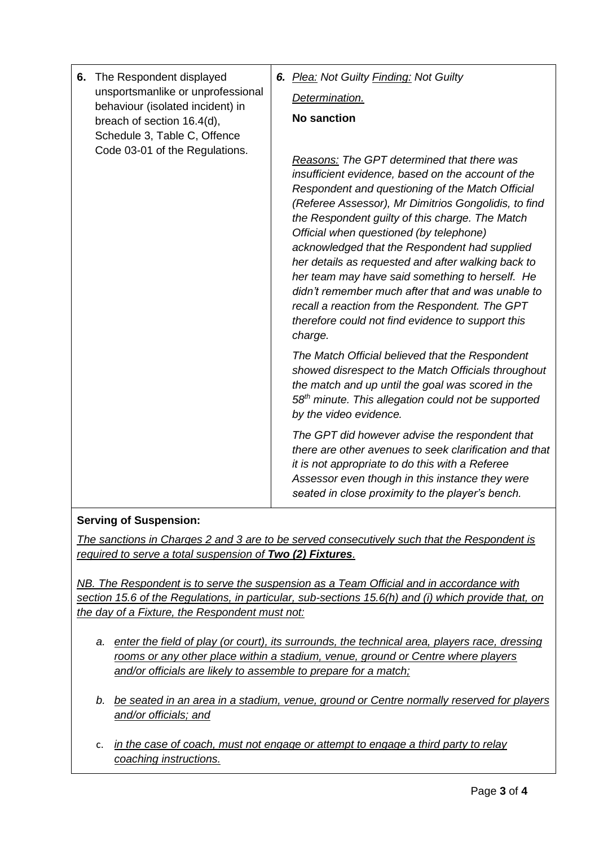| 6. | The Respondent displayed<br>unsportsmanlike or unprofessional<br>behaviour (isolated incident) in<br>breach of section 16.4(d),<br>Schedule 3, Table C, Offence<br>Code 03-01 of the Regulations. |                                                                                                                                                                                                                                                                    | 6. Plea: Not Guilty Finding: Not Guilty<br>Determination.<br><b>No sanction</b>                                                                                                                                                                                                                                                                                                                                                                                                                                                                                                                                                                    |
|----|---------------------------------------------------------------------------------------------------------------------------------------------------------------------------------------------------|--------------------------------------------------------------------------------------------------------------------------------------------------------------------------------------------------------------------------------------------------------------------|----------------------------------------------------------------------------------------------------------------------------------------------------------------------------------------------------------------------------------------------------------------------------------------------------------------------------------------------------------------------------------------------------------------------------------------------------------------------------------------------------------------------------------------------------------------------------------------------------------------------------------------------------|
|    |                                                                                                                                                                                                   |                                                                                                                                                                                                                                                                    | <b>Reasons: The GPT determined that there was</b><br>insufficient evidence, based on the account of the<br>Respondent and questioning of the Match Official<br>(Referee Assessor), Mr Dimitrios Gongolidis, to find<br>the Respondent guilty of this charge. The Match<br>Official when questioned (by telephone)<br>acknowledged that the Respondent had supplied<br>her details as requested and after walking back to<br>her team may have said something to herself. He<br>didn't remember much after that and was unable to<br>recall a reaction from the Respondent. The GPT<br>therefore could not find evidence to support this<br>charge. |
|    |                                                                                                                                                                                                   |                                                                                                                                                                                                                                                                    | The Match Official believed that the Respondent<br>showed disrespect to the Match Officials throughout<br>the match and up until the goal was scored in the<br>58 <sup>th</sup> minute. This allegation could not be supported<br>by the video evidence.                                                                                                                                                                                                                                                                                                                                                                                           |
|    |                                                                                                                                                                                                   | The GPT did however advise the respondent that<br>there are other avenues to seek clarification and that<br>it is not appropriate to do this with a Referee<br>Assessor even though in this instance they were<br>seated in close proximity to the player's bench. |                                                                                                                                                                                                                                                                                                                                                                                                                                                                                                                                                                                                                                                    |

## **Serving of Suspension:**

*The sanctions in Charges 2 and 3 are to be served consecutively such that the Respondent is required to serve a total suspension of Two (2) Fixtures.*

*NB. The Respondent is to serve the suspension as a Team Official and in accordance with section 15.6 of the Regulations, in particular, sub-sections 15.6(h) and (i) which provide that, on the day of a Fixture, the Respondent must not:* 

- *a. enter the field of play (or court), its surrounds, the technical area, players race, dressing rooms or any other place within a stadium, venue, ground or Centre where players and/or officials are likely to assemble to prepare for a match;*
- *b. be seated in an area in a stadium, venue, ground or Centre normally reserved for players and/or officials; and*
- c. *in the case of coach, must not engage or attempt to engage a third party to relay coaching instructions.*